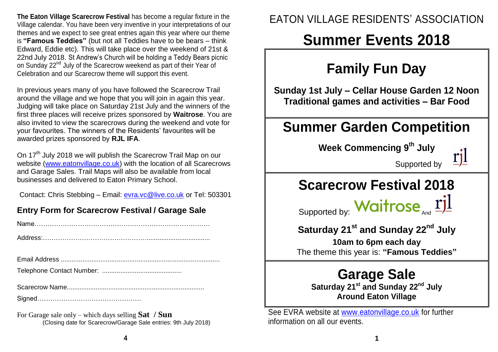**The Eaton Village Scarecrow Festival** has become a regular fixture in the Village calendar. You have been very inventive in your interpretations of our themes and we expect to see great entries again this year where our theme is **"Famous Teddies"** (but not all Teddies have to be bears – think Edward, Eddie etc). This will take place over the weekend of 21st & 22nd July 2018. St Andrew's Church will be holding a Teddy Bears picnic on Sunday 22<sup>nd</sup> July of the Scarecrow weekend as part of their Year of Celebration and our Scarecrow theme will support this event.

In previous years many of you have followed the Scarecrow Trail around the village and we hope that you will join in again this year. Judging will take place on Saturday 21st July and the winners of the first three places will receive prizes sponsored by **Waitrose**. You are also invited to view the scarecrows during the weekend and vote for your favourites. The winners of the Residents' favourites will be awarded prizes sponsored by **RJL IFA**.

On 17<sup>th</sup> July 2018 we will publish the Scarecrow Trail Map on our website [\(www.eatonvillage.co.uk\)](http://www.eatonvillage.co.uk/) with the location of all Scarecrows and Garage Sales. Trail Maps will also be available from local businesses and delivered to Eaton Primary School.

Contact: Chris Stebbing – Email: [evra.vc@live.co.uk](mailto:evra.vc@live.co.uk) or Tel: 503301

#### **Entry Form for Scarecrow Festival / Garage Sale**

For Garage sale only – which days selling **Sat / Sun** (Closing date for Scarecrow/Garage Sale entries: 9th July 2018)

### EATON VILLAGE RESIDENTS' ASSOCIATION

# **Summer Events 2018**

# **Family Fun Day**

**Sunday 1st July – Cellar House Garden 12 Noon Traditional games and activities – Bar Food**

## **Summer Garden Competition**

**Week Commencing 9 th July**



### Supported by

## **Scarecrow Festival 2018**

Supported by: Waitro.

| And |  |
|-----|--|
|     |  |

### **Saturday 21st and Sunday 22nd July**

**10am to 6pm each day** The theme this year is: **"Famous Teddies"**

### **Garage Sale**

**Saturday 21st and Sunday 22nd July Around Eaton Village**

See EVRA website at [www.eatonvillage.co.uk](http://www.eatonvillage.co.uk/) for further information on all our events.